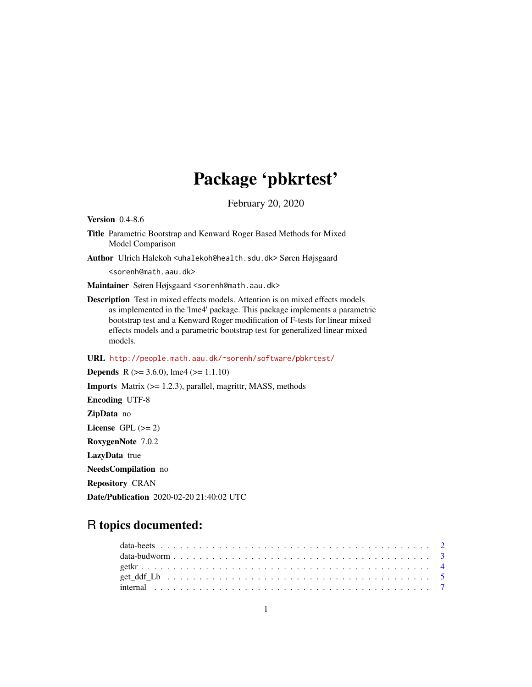# Package 'pbkrtest'

February 20, 2020

<span id="page-0-0"></span>Version 0.4-8.6

- Title Parametric Bootstrap and Kenward Roger Based Methods for Mixed Model Comparison
- Author Ulrich Halekoh <uhalekoh@health.sdu.dk> Søren Højsgaard

<sorenh@math.aau.dk>

Maintainer Søren Højsgaard <sorenh@math.aau.dk>

Description Test in mixed effects models. Attention is on mixed effects models as implemented in the 'lme4' package. This package implements a parametric bootstrap test and a Kenward Roger modification of F-tests for linear mixed effects models and a parametric bootstrap test for generalized linear mixed models.

URL <http://people.math.aau.dk/~sorenh/software/pbkrtest/>

**Depends** R ( $>= 3.6.0$ ), lme4 ( $>= 1.1.10$ ) Imports Matrix (>= 1.2.3), parallel, magrittr, MASS, methods Encoding UTF-8 ZipData no License GPL  $(>= 2)$ RoxygenNote 7.0.2 LazyData true NeedsCompilation no Repository CRAN

Date/Publication 2020-02-20 21:40:02 UTC

# R topics documented: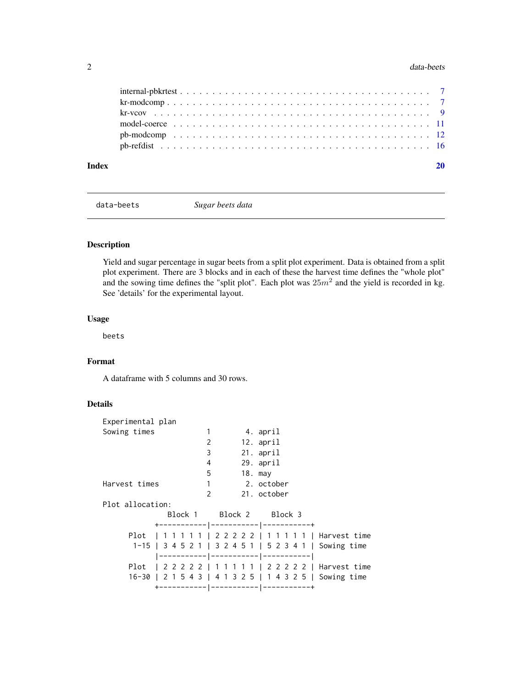#### <span id="page-1-0"></span>2 data-beets and the contract of the contract of the contract of the contract of the contract of the contract of the contract of the contract of the contract of the contract of the contract of the contract of the contract

data-beets *Sugar beets data*

# Description

Yield and sugar percentage in sugar beets from a split plot experiment. Data is obtained from a split plot experiment. There are 3 blocks and in each of these the harvest time defines the "whole plot" and the sowing time defines the "split plot". Each plot was  $25m^2$  and the yield is recorded in kg. See 'details' for the experimental layout.

# Usage

beets

# Format

A dataframe with 5 columns and 30 rows.

# Details

| Experimental plan |   |                         |                                                         |  |
|-------------------|---|-------------------------|---------------------------------------------------------|--|
| Sowing times      | 1 |                         | 4. april                                                |  |
|                   |   | 2                       | 12. april                                               |  |
|                   |   | 3                       | 21. april                                               |  |
|                   |   | 4                       | 29. april                                               |  |
|                   |   | 5<br>$18.$ may          |                                                         |  |
| Harvest times     |   | $1 \quad$               | 2. october                                              |  |
|                   |   | $\mathcal{P}$           | 21. october                                             |  |
| Plot allocation:  |   |                         |                                                         |  |
|                   |   | Block 1 Block 2 Block 3 |                                                         |  |
|                   |   |                         | +----------- ------------ ---------+                    |  |
|                   |   |                         | Plot   1 1 1 1 1   2 2 2 2 2   1 1 1 1 1   Harvest time |  |
|                   |   |                         | 1-15   3 4 5 2 1   3 2 4 5 1   5 2 3 4 1   Sowing time  |  |
|                   |   |                         | ----------- ----------- -----------                     |  |
|                   |   |                         | Plot   2 2 2 2 2   1 1 1 1 1   2 2 2 2 2   Harvest time |  |
|                   |   |                         | 16-30   2 1 5 4 3   4 1 3 2 5   1 4 3 2 5   Sowing time |  |
|                   |   |                         | +----------- ----------- ------------+                  |  |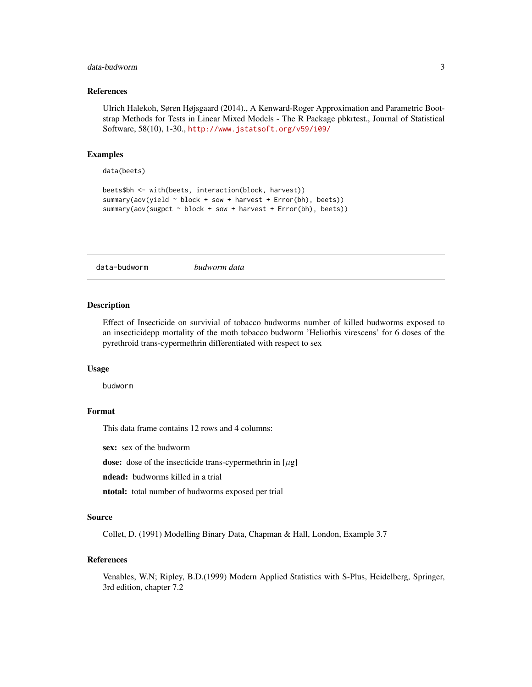# <span id="page-2-0"></span>data-budworm 3

# References

Ulrich Halekoh, Søren Højsgaard (2014)., A Kenward-Roger Approximation and Parametric Bootstrap Methods for Tests in Linear Mixed Models - The R Package pbkrtest., Journal of Statistical Software, 58(10), 1-30., <http://www.jstatsoft.org/v59/i09/>

#### Examples

data(beets)

```
beets$bh <- with(beets, interaction(block, harvest))
summary(aov(yield ~ block + sow + harvest + Error(bh), beets))
summary(aov(sugpct ~ block + sow + harvest + Error(bh), beets))
```
data-budworm *budworm data*

#### Description

Effect of Insecticide on survivial of tobacco budworms number of killed budworms exposed to an insecticidepp mortality of the moth tobacco budworm 'Heliothis virescens' for 6 doses of the pyrethroid trans-cypermethrin differentiated with respect to sex

#### Usage

budworm

#### Format

This data frame contains 12 rows and 4 columns:

sex: sex of the budworm

dose: dose of the insecticide trans-cypermethrin in  $[\mu$ g]

ndead: budworms killed in a trial

ntotal: total number of budworms exposed per trial

#### Source

Collet, D. (1991) Modelling Binary Data, Chapman & Hall, London, Example 3.7

# References

Venables, W.N; Ripley, B.D.(1999) Modern Applied Statistics with S-Plus, Heidelberg, Springer, 3rd edition, chapter 7.2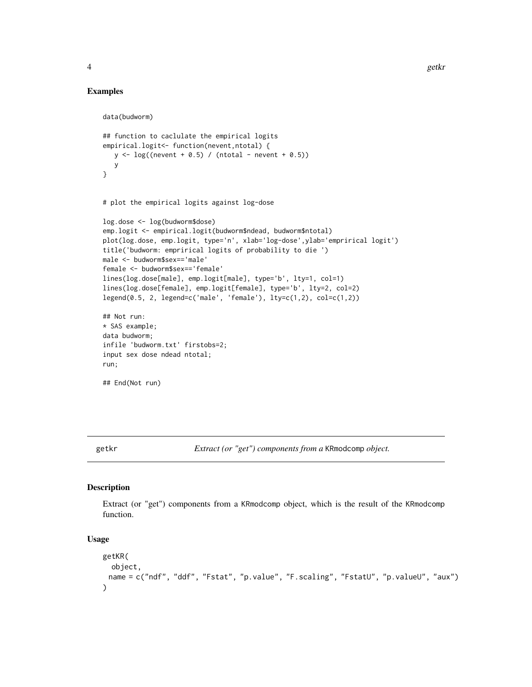#### Examples

```
data(budworm)
## function to caclulate the empirical logits
empirical.logit<- function(nevent,ntotal) {
  y \leq log((\text{never} + 0.5) / (\text{ntotal} - \text{never} + 0.5))y
}
# plot the empirical logits against log-dose
log.dose <- log(budworm$dose)
emp.logit <- empirical.logit(budworm$ndead, budworm$ntotal)
plot(log.dose, emp.logit, type='n', xlab='log-dose',ylab='emprirical logit')
title('budworm: emprirical logits of probability to die ')
male <- budworm$sex=='male'
female <- budworm$sex=='female'
lines(log.dose[male], emp.logit[male], type='b', lty=1, col=1)
lines(log.dose[female], emp.logit[female], type='b', lty=2, col=2)
legend(0.5, 2, legend=c('male', 'female'), lty=c(1,2), col=c(1,2))
## Not run:
* SAS example;
data budworm;
infile 'budworm.txt' firstobs=2;
input sex dose ndead ntotal;
run;
## End(Not run)
```
getkr *Extract (or "get") components from a* KRmodcomp *object.*

#### <span id="page-3-1"></span>Description

Extract (or "get") components from a KRmodcomp object, which is the result of the KRmodcomp function.

```
getKR(
  object,
 name = c("ndf", "ddf", "Fstat", "p.value", "F.scaling", "FstatU", "p.valueU", "aux")
)
```
<span id="page-3-0"></span>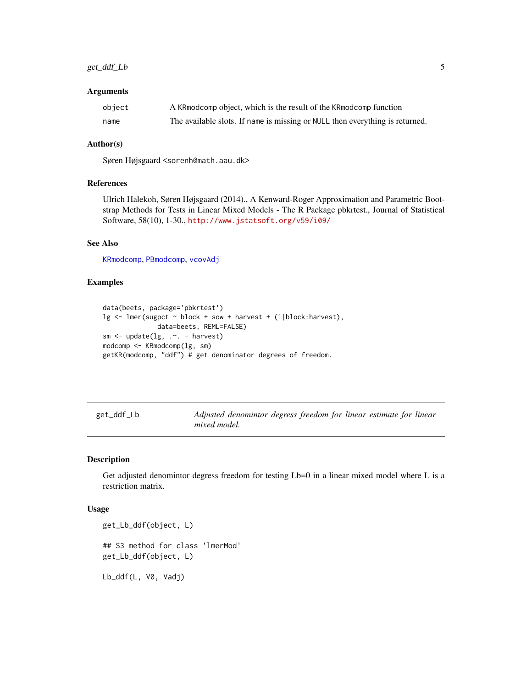# <span id="page-4-0"></span>get\_ddf\_Lb 5

#### **Arguments**

| object | A KRmodcomp object, which is the result of the KRmodcomp function            |
|--------|------------------------------------------------------------------------------|
| name   | The available slots. If name is missing or NULL then everything is returned. |

#### Author(s)

Søren Højsgaard <sorenh@math.aau.dk>

#### References

Ulrich Halekoh, Søren Højsgaard (2014)., A Kenward-Roger Approximation and Parametric Bootstrap Methods for Tests in Linear Mixed Models - The R Package pbkrtest., Journal of Statistical Software, 58(10), 1-30., <http://www.jstatsoft.org/v59/i09/>

# See Also

[KRmodcomp](#page-6-1), [PBmodcomp](#page-11-1), [vcovAdj](#page-8-1)

# Examples

```
data(beets, package='pbkrtest')
lg <- lmer(sugpct ~ block + sow + harvest + (1|block:harvest),
             data=beets, REML=FALSE)
sm <- update(lg, .~. - harvest)
modcomp <- KRmodcomp(lg, sm)
getKR(modcomp, "ddf") # get denominator degrees of freedom.
```
get\_ddf\_Lb *Adjusted denomintor degress freedom for linear estimate for linear mixed model.*

# Description

Get adjusted denomintor degress freedom for testing Lb=0 in a linear mixed model where L is a restriction matrix.

```
get_Lb_ddf(object, L)
## S3 method for class 'lmerMod'
get_Lb_ddf(object, L)
Lb_ddf(L, V0, Vadj)
```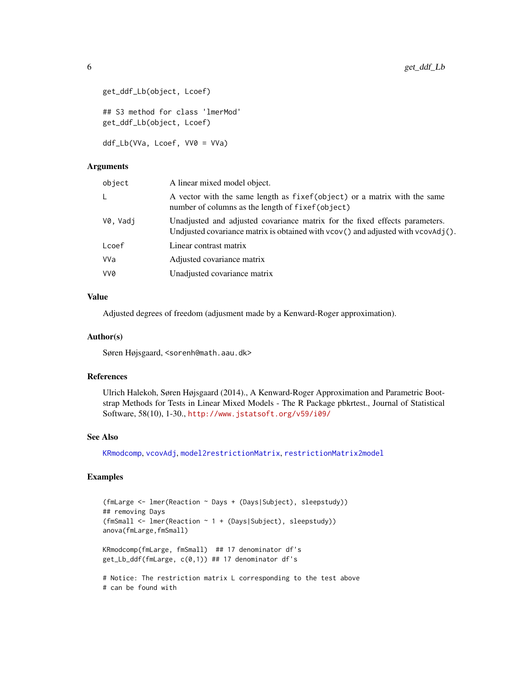```
get_ddf_Lb(object, Lcoef)
## S3 method for class 'lmerMod'
get_ddf_Lb(object, Lcoef)
ddf_Lb(VVa, Lcoef, VV0 = VVa)
```
#### Arguments

| object   | A linear mixed model object.                                                                                                                                                                |
|----------|---------------------------------------------------------------------------------------------------------------------------------------------------------------------------------------------|
| L        | A vector with the same length as fixef (object) or a matrix with the same<br>number of columns as the length of fixef(object)                                                               |
| V0. Vadi | Unadjusted and adjusted covariance matrix for the fixed effects parameters.<br>Undjusted covariance matrix is obtained with $\vee$ cov $()$ and adjusted with $\vee$ cov $\wedge$ dj $()$ . |
| Lcoef    | Linear contrast matrix                                                                                                                                                                      |
| VVa      | Adjusted covariance matrix                                                                                                                                                                  |
| VV0      | Unadjusted covariance matrix                                                                                                                                                                |
|          |                                                                                                                                                                                             |

# Value

Adjusted degrees of freedom (adjusment made by a Kenward-Roger approximation).

#### Author(s)

Søren Højsgaard, <sorenh@math.aau.dk>

# References

Ulrich Halekoh, Søren Højsgaard (2014)., A Kenward-Roger Approximation and Parametric Bootstrap Methods for Tests in Linear Mixed Models - The R Package pbkrtest., Journal of Statistical Software, 58(10), 1-30., <http://www.jstatsoft.org/v59/i09/>

#### See Also

[KRmodcomp](#page-6-1), [vcovAdj](#page-8-1), [model2restrictionMatrix](#page-10-1), [restrictionMatrix2model](#page-10-1)

# Examples

```
(fmLarge <- lmer(Reaction ~ Days + (Days|Subject), sleepstudy))
## removing Days
(fmSmall <- lmer(Reaction ~ 1 + (Days|Subject), sleepstudy))
anova(fmLarge,fmSmall)
KRmodcomp(fmLarge, fmSmall) ## 17 denominator df's
get_Lb_ddf(fmLarge, c(0,1)) ## 17 denominator df's
# Notice: The restriction matrix L corresponding to the test above
# can be found with
```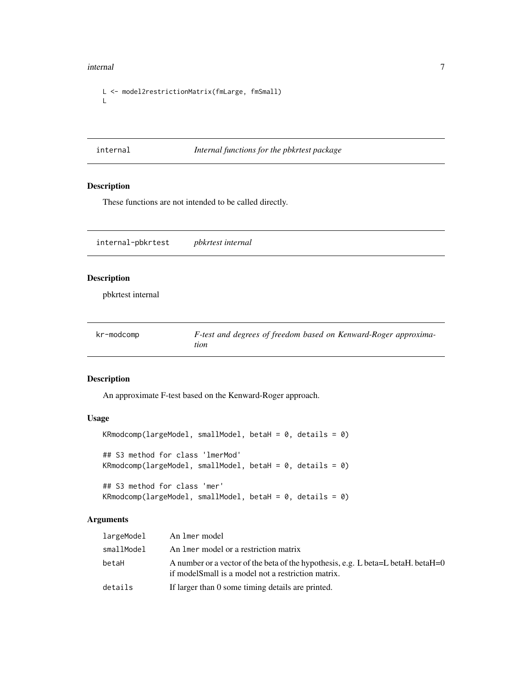#### <span id="page-6-0"></span>internal 2008 and 2008 and 2008 and 2008 and 2008 and 2008 and 2008 and 2008 and 2008 and 2008 and 2008 and 20

```
L <- model2restrictionMatrix(fmLarge, fmSmall)
L
```
# internal *Internal functions for the pbkrtest package*

# Description

These functions are not intended to be called directly.

| internal-pbkrtest  | pbkrtest internal |  |
|--------------------|-------------------|--|
| <b>Description</b> |                   |  |

pbkrtest internal

| kr-modcomp | F-test and degrees of freedom based on Kenward-Roger approxima- |
|------------|-----------------------------------------------------------------|
|            | tion                                                            |

# <span id="page-6-1"></span>Description

An approximate F-test based on the Kenward-Roger approach.

#### Usage

```
KRmodcomp(largeModel, smallModel, betaH = 0, details = 0)
## S3 method for class 'lmerMod'
KRmodcomp(largeModel, smallModel, betaH = 0, details = 0)
## S3 method for class 'mer'
KRmodcomp(largeModel, smallModel, betaH = 0, details = 0)
```
# Arguments

| largeModel | An 1mer model                                                                                                                           |
|------------|-----------------------------------------------------------------------------------------------------------------------------------------|
| smallModel | An liner model or a restriction matrix                                                                                                  |
| betaH      | A number or a vector of the beta of the hypothesis, e.g. L beta=L betaH. betaH=0<br>if model Small is a model not a restriction matrix. |
| details    | If larger than 0 some timing details are printed.                                                                                       |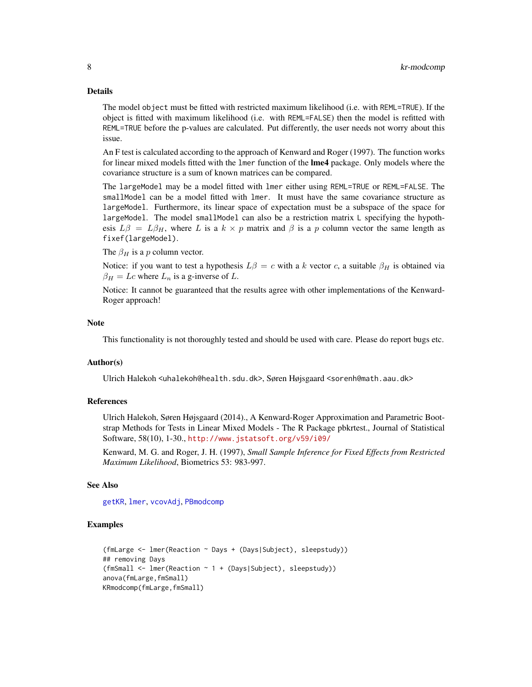#### Details

The model object must be fitted with restricted maximum likelihood (i.e. with REML=TRUE). If the object is fitted with maximum likelihood (i.e. with REML=FALSE) then the model is refitted with REML=TRUE before the p-values are calculated. Put differently, the user needs not worry about this issue.

An F test is calculated according to the approach of Kenward and Roger (1997). The function works for linear mixed models fitted with the lmer function of the lme4 package. Only models where the covariance structure is a sum of known matrices can be compared.

The largeModel may be a model fitted with lmer either using REML=TRUE or REML=FALSE. The smallModel can be a model fitted with lmer. It must have the same covariance structure as largeModel. Furthermore, its linear space of expectation must be a subspace of the space for largeModel. The model smallModel can also be a restriction matrix L specifying the hypothesis  $L\beta = L\beta_H$ , where L is a  $k \times p$  matrix and  $\beta$  is a p column vector the same length as fixef(largeModel).

The  $\beta_H$  is a p column vector.

Notice: if you want to test a hypothesis  $L\beta = c$  with a k vector c, a suitable  $\beta_H$  is obtained via  $\beta_H = Lc$  where  $L_n$  is a g-inverse of L.

Notice: It cannot be guaranteed that the results agree with other implementations of the Kenward-Roger approach!

#### **Note**

This functionality is not thoroughly tested and should be used with care. Please do report bugs etc.

### Author(s)

Ulrich Halekoh <uhalekoh@health.sdu.dk>, Søren Højsgaard <sorenh@math.aau.dk>

#### References

Ulrich Halekoh, Søren Højsgaard (2014)., A Kenward-Roger Approximation and Parametric Bootstrap Methods for Tests in Linear Mixed Models - The R Package pbkrtest., Journal of Statistical Software, 58(10), 1-30., <http://www.jstatsoft.org/v59/i09/>

Kenward, M. G. and Roger, J. H. (1997), *Small Sample Inference for Fixed Effects from Restricted Maximum Likelihood*, Biometrics 53: 983-997.

# See Also

[getKR](#page-3-1), [lmer](#page-0-0), [vcovAdj](#page-8-1), [PBmodcomp](#page-11-1)

#### Examples

```
(fmLarge <- lmer(Reaction ~ Days + (Days|Subject), sleepstudy))
## removing Days
(fmSmall <- lmer(Reaction ~ 1 + (Days|Subject), sleepstudy))
anova(fmLarge,fmSmall)
KRmodcomp(fmLarge,fmSmall)
```
<span id="page-7-0"></span>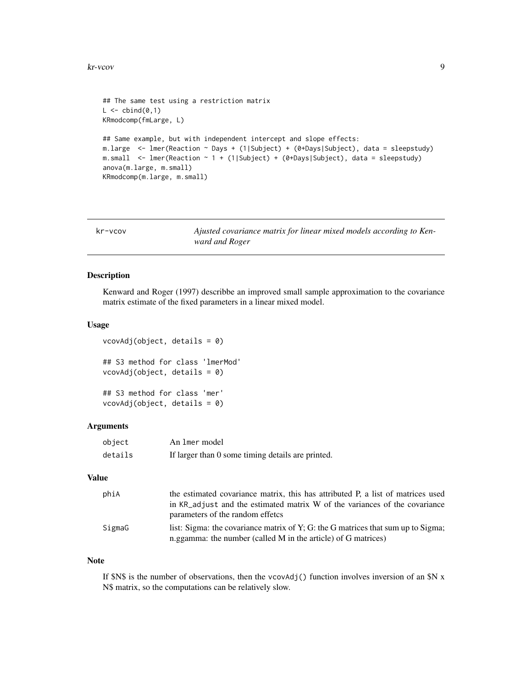#### <span id="page-8-0"></span>kr-vcov 9

```
## The same test using a restriction matrix
L \leftarrow \text{cbind}(\emptyset, 1)KRmodcomp(fmLarge, L)
## Same example, but with independent intercept and slope effects:
m.large <- lmer(Reaction ~ Days + (1|Subject) + (0+Days|Subject), data = sleepstudy)
m.small <- lmer(Reaction ~ 1 + (1|Subject) + (0+Days|Subject), data = sleepstudy)
anova(m.large, m.small)
KRmodcomp(m.large, m.small)
```

| kr-vcov | Ajusted covariance matrix for linear mixed models according to Ken- |
|---------|---------------------------------------------------------------------|
|         | ward and Roger                                                      |

#### <span id="page-8-1"></span>Description

Kenward and Roger (1997) describbe an improved small sample approximation to the covariance matrix estimate of the fixed parameters in a linear mixed model.

#### Usage

```
vcovAdj(object, details = 0)
## S3 method for class 'lmerMod'
vcovAdj(object, details = 0)
## S3 method for class 'mer'
vcovAdj(object, details = 0)
```
#### Arguments

| object  | An 1mer model                                     |
|---------|---------------------------------------------------|
| details | If larger than 0 some timing details are printed. |

# Value

| phiA   | the estimated covariance matrix, this has attributed P, a list of matrices used  |
|--------|----------------------------------------------------------------------------------|
|        | in KR_adjust and the estimated matrix W of the variances of the covariance       |
|        | parameters of the random effetcs                                                 |
| SigmaG | list: Sigma: the covariance matrix of Y; G: the G matrices that sum up to Sigma; |
|        | n.ggamma: the number (called M in the article) of G matrices)                    |

#### Note

If  $SN\$  is the number of observations, then the vcovAdj() function involves inversion of an  $SN \times$ N\$ matrix, so the computations can be relatively slow.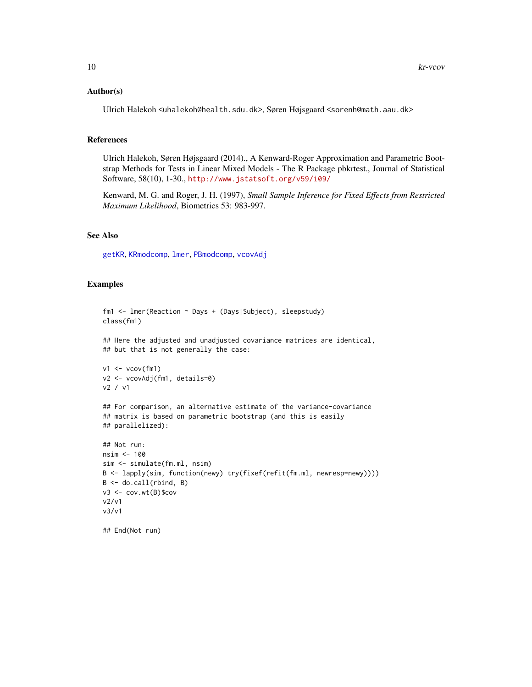#### <span id="page-9-0"></span>Author(s)

Ulrich Halekoh <uhalekoh@health.sdu.dk>, Søren Højsgaard <sorenh@math.aau.dk>

#### References

Ulrich Halekoh, Søren Højsgaard (2014)., A Kenward-Roger Approximation and Parametric Bootstrap Methods for Tests in Linear Mixed Models - The R Package pbkrtest., Journal of Statistical Software, 58(10), 1-30., <http://www.jstatsoft.org/v59/i09/>

Kenward, M. G. and Roger, J. H. (1997), *Small Sample Inference for Fixed Effects from Restricted Maximum Likelihood*, Biometrics 53: 983-997.

# See Also

[getKR](#page-3-1), [KRmodcomp](#page-6-1), [lmer](#page-0-0), [PBmodcomp](#page-11-1), [vcovAdj](#page-8-1)

#### Examples

## End(Not run)

```
fm1 <- lmer(Reaction ~ Days + (Days|Subject), sleepstudy)
class(fm1)
## Here the adjusted and unadjusted covariance matrices are identical,
## but that is not generally the case:
v1 <- vcov(fm1)v2 <- vcovAdj(fm1, details=0)
v2 / v1
## For comparison, an alternative estimate of the variance-covariance
## matrix is based on parametric bootstrap (and this is easily
## parallelized):
## Not run:
nsim <- 100
sim <- simulate(fm.ml, nsim)
B <- lapply(sim, function(newy) try(fixef(refit(fm.ml, newresp=newy))))
B <- do.call(rbind, B)
v3 <- cov.wt(B)$cov
v2/v1
v3/v1
```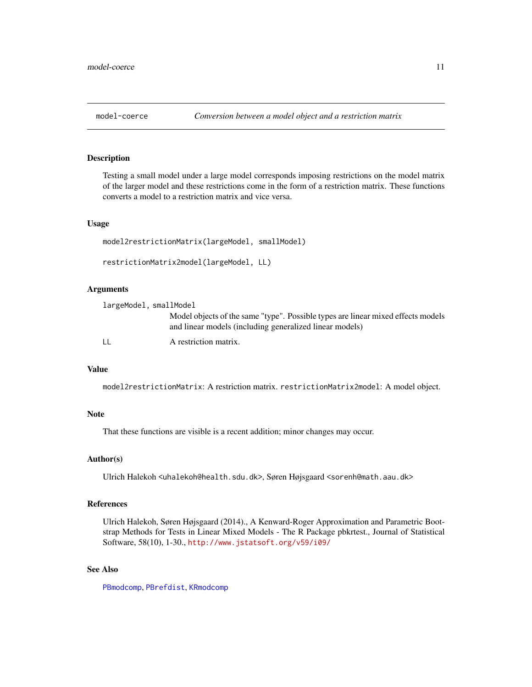<span id="page-10-0"></span>

# <span id="page-10-1"></span>Description

Testing a small model under a large model corresponds imposing restrictions on the model matrix of the larger model and these restrictions come in the form of a restriction matrix. These functions converts a model to a restriction matrix and vice versa.

# Usage

```
model2restrictionMatrix(largeModel, smallModel)
restrictionMatrix2model(largeModel, LL)
```
# Arguments

| largeModel, smallModel |                                                                                                                                             |
|------------------------|---------------------------------------------------------------------------------------------------------------------------------------------|
|                        | Model objects of the same "type". Possible types are linear mixed effects models<br>and linear models (including generalized linear models) |
| $\perp$                | A restriction matrix.                                                                                                                       |

# Value

model2restrictionMatrix: A restriction matrix. restrictionMatrix2model: A model object.

#### Note

That these functions are visible is a recent addition; minor changes may occur.

#### Author(s)

Ulrich Halekoh <uhalekoh@health.sdu.dk>, Søren Højsgaard <sorenh@math.aau.dk>

#### References

Ulrich Halekoh, Søren Højsgaard (2014)., A Kenward-Roger Approximation and Parametric Bootstrap Methods for Tests in Linear Mixed Models - The R Package pbkrtest., Journal of Statistical Software, 58(10), 1-30., <http://www.jstatsoft.org/v59/i09/>

# See Also

[PBmodcomp](#page-11-1), [PBrefdist](#page-15-1), [KRmodcomp](#page-6-1)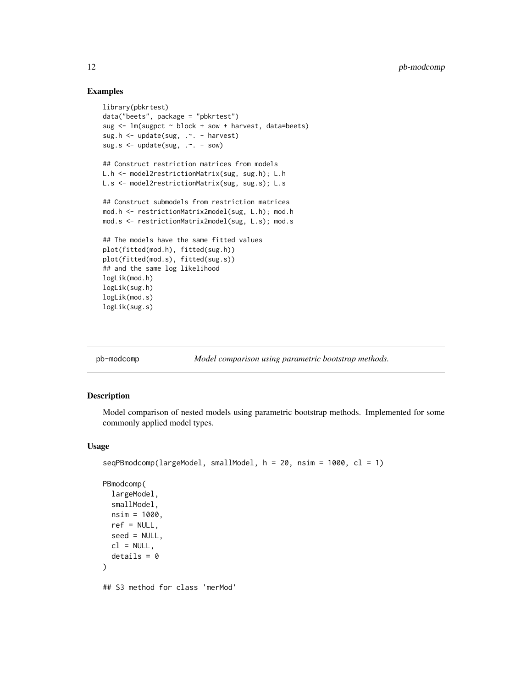### Examples

```
library(pbkrtest)
data("beets", package = "pbkrtest")
sug <- lm(sugpct ~ block + sow + harvest, data=beets)
sug.h <- update(sug, .~. - harvest)
sug.s <- update(sug, .~. - sow)
## Construct restriction matrices from models
L.h <- model2restrictionMatrix(sug, sug.h); L.h
L.s <- model2restrictionMatrix(sug, sug.s); L.s
## Construct submodels from restriction matrices
mod.h <- restrictionMatrix2model(sug, L.h); mod.h
mod.s <- restrictionMatrix2model(sug, L.s); mod.s
## The models have the same fitted values
plot(fitted(mod.h), fitted(sug.h))
plot(fitted(mod.s), fitted(sug.s))
## and the same log likelihood
logLik(mod.h)
logLik(sug.h)
logLik(mod.s)
logLik(sug.s)
```
pb-modcomp *Model comparison using parametric bootstrap methods.*

# <span id="page-11-1"></span>Description

Model comparison of nested models using parametric bootstrap methods. Implemented for some commonly applied model types.

```
seqPBmodcomp(largeModel, smallModel, h = 20, nsim = 1000, cl = 1)
```

```
PBmodcomp(
```

```
largeModel,
  smallModel,
 nsim = 1000,
 ref = NULL,seed = NULL,
 cl = NULL.
 details = 0)
## S3 method for class 'merMod'
```
<span id="page-11-0"></span>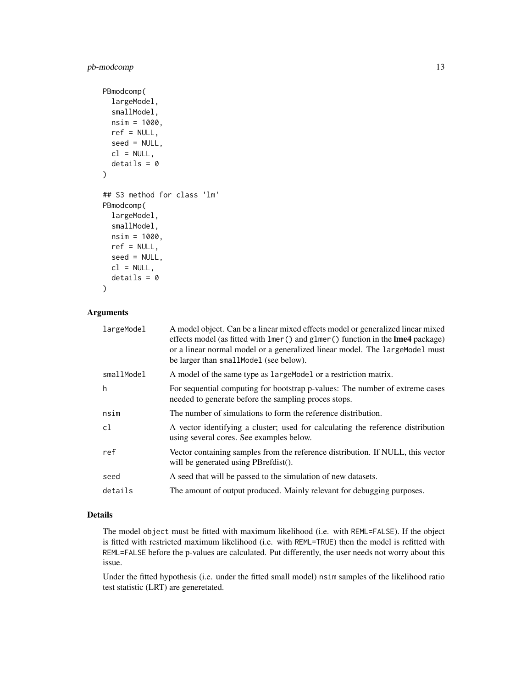# pb-modcomp 13

```
PBmodcomp(
  largeModel,
  smallModel,
 nsim = 1000,
  ref = NULL,seed = NULL,
  cl = NULL,details = 0)
## S3 method for class 'lm'
PBmodcomp(
  largeModel,
  smallModel,
 nsim = 1000,
  ref = NULL,seed = NULL,
 cl = NULL,details = 0
```

```
)
```
# Arguments

| largeModel | A model object. Can be a linear mixed effects model or generalized linear mixed<br>effects model (as fitted with lmer () and glmer () function in the lme4 package)<br>or a linear normal model or a generalized linear model. The largeModel must<br>be larger than smallModel (see below). |
|------------|----------------------------------------------------------------------------------------------------------------------------------------------------------------------------------------------------------------------------------------------------------------------------------------------|
| smallModel | A model of the same type as large Model or a restriction matrix.                                                                                                                                                                                                                             |
| h          | For sequential computing for bootstrap p-values: The number of extreme cases<br>needed to generate before the sampling proces stops.                                                                                                                                                         |
| nsim       | The number of simulations to form the reference distribution.                                                                                                                                                                                                                                |
| cl         | A vector identifying a cluster; used for calculating the reference distribution<br>using several cores. See examples below.                                                                                                                                                                  |
| ref        | Vector containing samples from the reference distribution. If NULL, this vector<br>will be generated using PBrefdist().                                                                                                                                                                      |
| seed       | A seed that will be passed to the simulation of new datasets.                                                                                                                                                                                                                                |
| details    | The amount of output produced. Mainly relevant for debugging purposes.                                                                                                                                                                                                                       |

# Details

The model object must be fitted with maximum likelihood (i.e. with REML=FALSE). If the object is fitted with restricted maximum likelihood (i.e. with REML=TRUE) then the model is refitted with REML=FALSE before the p-values are calculated. Put differently, the user needs not worry about this issue.

Under the fitted hypothesis (i.e. under the fitted small model) nsim samples of the likelihood ratio test statistic (LRT) are generetated.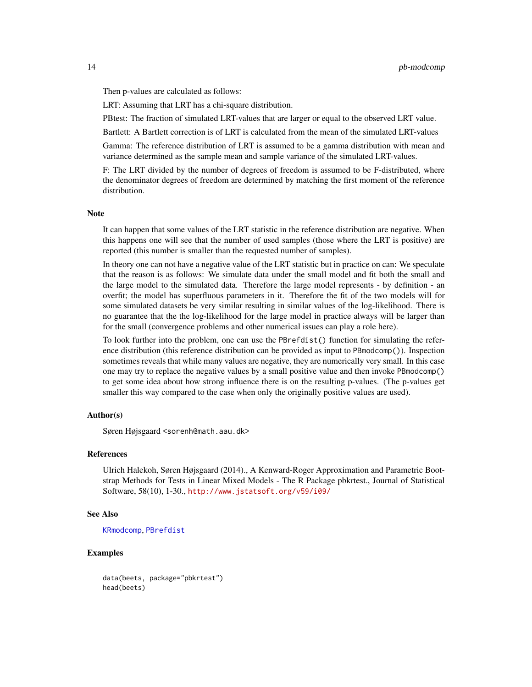<span id="page-13-0"></span>Then p-values are calculated as follows:

LRT: Assuming that LRT has a chi-square distribution.

PBtest: The fraction of simulated LRT-values that are larger or equal to the observed LRT value.

Bartlett: A Bartlett correction is of LRT is calculated from the mean of the simulated LRT-values

Gamma: The reference distribution of LRT is assumed to be a gamma distribution with mean and variance determined as the sample mean and sample variance of the simulated LRT-values.

F: The LRT divided by the number of degrees of freedom is assumed to be F-distributed, where the denominator degrees of freedom are determined by matching the first moment of the reference distribution.

## **Note**

It can happen that some values of the LRT statistic in the reference distribution are negative. When this happens one will see that the number of used samples (those where the LRT is positive) are reported (this number is smaller than the requested number of samples).

In theory one can not have a negative value of the LRT statistic but in practice on can: We speculate that the reason is as follows: We simulate data under the small model and fit both the small and the large model to the simulated data. Therefore the large model represents - by definition - an overfit; the model has superfluous parameters in it. Therefore the fit of the two models will for some simulated datasets be very similar resulting in similar values of the log-likelihood. There is no guarantee that the the log-likelihood for the large model in practice always will be larger than for the small (convergence problems and other numerical issues can play a role here).

To look further into the problem, one can use the PBrefdist() function for simulating the reference distribution (this reference distribution can be provided as input to PBmodcomp()). Inspection sometimes reveals that while many values are negative, they are numerically very small. In this case one may try to replace the negative values by a small positive value and then invoke PBmodcomp() to get some idea about how strong influence there is on the resulting p-values. (The p-values get smaller this way compared to the case when only the originally positive values are used).

#### Author(s)

Søren Højsgaard <sorenh@math.aau.dk>

#### References

Ulrich Halekoh, Søren Højsgaard (2014)., A Kenward-Roger Approximation and Parametric Bootstrap Methods for Tests in Linear Mixed Models - The R Package pbkrtest., Journal of Statistical Software, 58(10), 1-30., <http://www.jstatsoft.org/v59/i09/>

## See Also

[KRmodcomp](#page-6-1), [PBrefdist](#page-15-1)

# Examples

data(beets, package="pbkrtest") head(beets)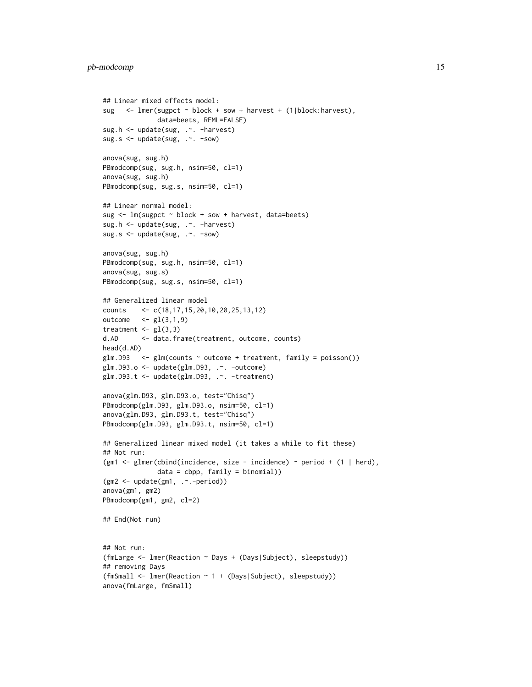```
## Linear mixed effects model:
sug <- lmer(sugpct ~ block + sow + harvest + (1|block:harvest),
              data=beets, REML=FALSE)
sug.h <- update(sug, .~. -harvest)
sug.s <- update(sug, .~. -sow)
anova(sug, sug.h)
PBmodcomp(sug, sug.h, nsim=50, cl=1)
anova(sug, sug.h)
PBmodcomp(sug, sug.s, nsim=50, cl=1)
## Linear normal model:
sug \leq lm(sugpct \sim block + sow + harvest, data=beets)
sug.h <- update(sug, .~. -harvest)
sug.s <- update(sug, .~. -sow)
anova(sug, sug.h)
PBmodcomp(sug, sug.h, nsim=50, cl=1)
anova(sug, sug.s)
PBmodcomp(sug, sug.s, nsim=50, cl=1)
## Generalized linear model
counts <- c(18,17,15,20,10,20,25,13,12)
outcome \leq gl(3,1,9)
treatment \leq gl(3,3)
d.AD <- data.frame(treatment, outcome, counts)
head(d.AD)
glm.D93 \leq glm(counts \sim outcome + treatment, family = poisson())
glm.D93.o <- update(glm.D93, .~. -outcome)
glm.D93.t <- update(glm.D93, .~. -treatment)
anova(glm.D93, glm.D93.o, test="Chisq")
PBmodcomp(glm.D93, glm.D93.o, nsim=50, cl=1)
anova(glm.D93, glm.D93.t, test="Chisq")
PBmodcomp(glm.D93, glm.D93.t, nsim=50, cl=1)
## Generalized linear mixed model (it takes a while to fit these)
## Not run:
(gm1 <- glmer(cbind(incidence, size - incidence) ~ period + (1 | herd),
              data = cbpp, family = binomial)(gm2 <- update(gm1, .~.-period))
anova(gm1, gm2)
PBmodcomp(gm1, gm2, cl=2)
## End(Not run)
## Not run:
(fmLarge <- lmer(Reaction ~ Days + (Days|Subject), sleepstudy))
## removing Days
(fmSmall <- lmer(Reaction ~ 1 + (Days|Subject), sleepstudy))
anova(fmLarge, fmSmall)
```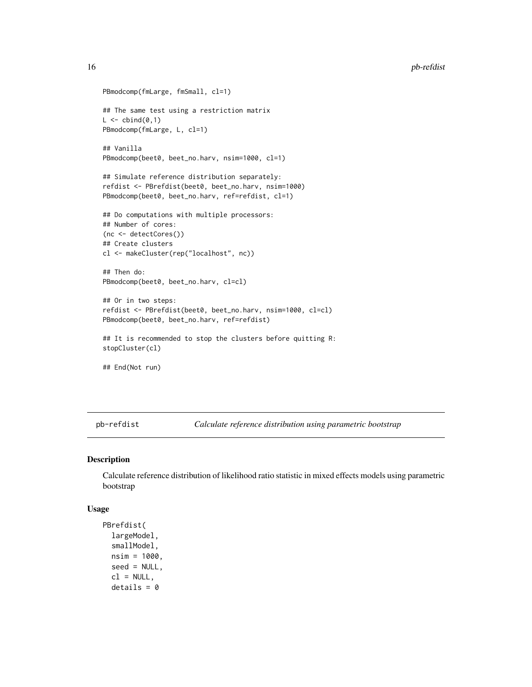```
PBmodcomp(fmLarge, fmSmall, cl=1)
## The same test using a restriction matrix
L \leftarrow \text{cbind}(0,1)PBmodcomp(fmLarge, L, cl=1)
## Vanilla
PBmodcomp(beet0, beet_no.harv, nsim=1000, cl=1)
## Simulate reference distribution separately:
refdist <- PBrefdist(beet0, beet_no.harv, nsim=1000)
PBmodcomp(beet0, beet_no.harv, ref=refdist, cl=1)
## Do computations with multiple processors:
## Number of cores:
(nc <- detectCores())
## Create clusters
cl <- makeCluster(rep("localhost", nc))
## Then do:
PBmodcomp(beet0, beet_no.harv, cl=cl)
## Or in two steps:
refdist <- PBrefdist(beet0, beet_no.harv, nsim=1000, cl=cl)
PBmodcomp(beet0, beet_no.harv, ref=refdist)
## It is recommended to stop the clusters before quitting R:
stopCluster(cl)
## End(Not run)
```
pb-refdist *Calculate reference distribution using parametric bootstrap*

#### <span id="page-15-1"></span>Description

Calculate reference distribution of likelihood ratio statistic in mixed effects models using parametric bootstrap

```
PBrefdist(
  largeModel,
  smallModel,
 nsim = 1000,
  seed = NULL,
  cl = NULL,details = 0
```
<span id="page-15-0"></span>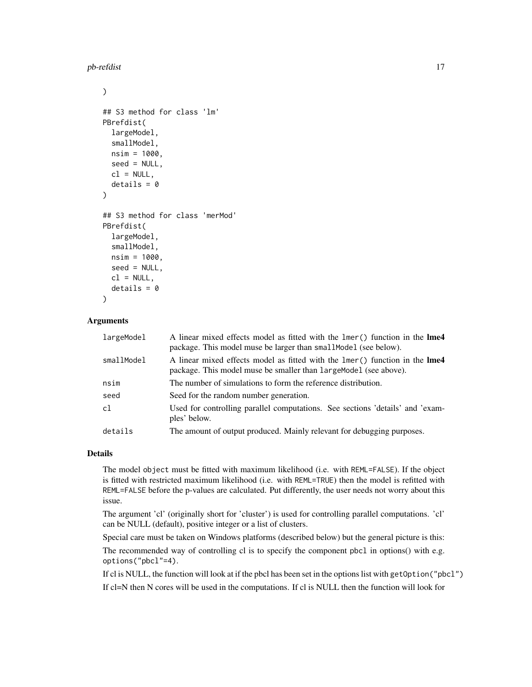pb-refdist the state of the state of the state of the state of the state of the state of the state of the state of the state of the state of the state of the state of the state of the state of the state of the state of the

```
)
## S3 method for class 'lm'
PBrefdist(
  largeModel,
  smallModel,
  nsim = 1000,
  seed = NULL,
  cl = NULL,details = 0\lambda## S3 method for class 'merMod'
PBrefdist(
  largeModel,
  smallModel,
  nsim = 1000,
  seed = NULL,
 cl = NULL,details = 0)
```
# Arguments

| largeModel | A linear mixed effects model as fitted with the lmer() function in the lme4<br>package. This model muse be larger than small Model (see below).  |
|------------|--------------------------------------------------------------------------------------------------------------------------------------------------|
| smallModel | A linear mixed effects model as fitted with the lmer() function in the lme4<br>package. This model muse be smaller than large Model (see above). |
| nsim       | The number of simulations to form the reference distribution.                                                                                    |
| seed       | Seed for the random number generation.                                                                                                           |
| c1         | Used for controlling parallel computations. See sections 'details' and 'exam-<br>ples' below.                                                    |
| details    | The amount of output produced. Mainly relevant for debugging purposes.                                                                           |

#### Details

The model object must be fitted with maximum likelihood (i.e. with REML=FALSE). If the object is fitted with restricted maximum likelihood (i.e. with REML=TRUE) then the model is refitted with REML=FALSE before the p-values are calculated. Put differently, the user needs not worry about this issue.

The argument 'cl' (originally short for 'cluster') is used for controlling parallel computations. 'cl' can be NULL (default), positive integer or a list of clusters.

Special care must be taken on Windows platforms (described below) but the general picture is this:

The recommended way of controlling cl is to specify the component pbcl in options() with e.g. options("pbcl"=4).

If cl is NULL, the function will look at if the pbcl has been set in the options list with getOption("pbcl") If cl=N then N cores will be used in the computations. If cl is NULL then the function will look for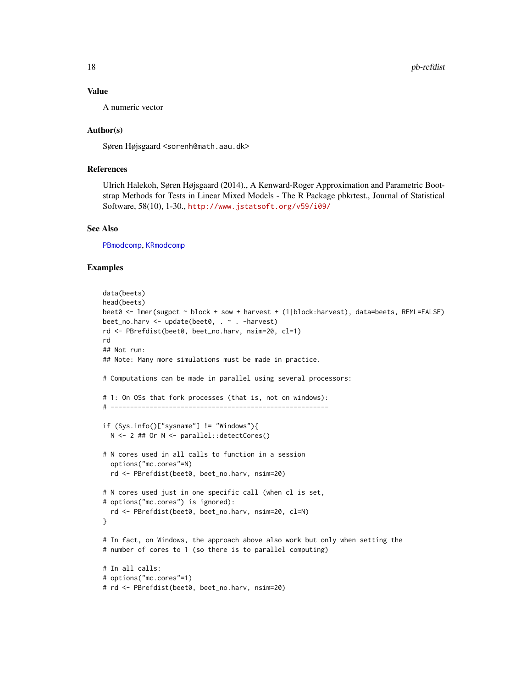#### <span id="page-17-0"></span>Value

A numeric vector

#### Author(s)

Søren Højsgaard <sorenh@math.aau.dk>

#### References

Ulrich Halekoh, Søren Højsgaard (2014)., A Kenward-Roger Approximation and Parametric Bootstrap Methods for Tests in Linear Mixed Models - The R Package pbkrtest., Journal of Statistical Software, 58(10), 1-30., <http://www.jstatsoft.org/v59/i09/>

#### See Also

[PBmodcomp](#page-11-1), [KRmodcomp](#page-6-1)

#### Examples

```
data(beets)
head(beets)
beet0 <- lmer(sugpct ~ block + sow + harvest + (1|block:harvest), data=beets, REML=FALSE)
beet_no.harv <- update(beet0, . ~ . -harvest)
rd <- PBrefdist(beet0, beet_no.harv, nsim=20, cl=1)
rd
## Not run:
## Note: Many more simulations must be made in practice.
# Computations can be made in parallel using several processors:
# 1: On OSs that fork processes (that is, not on windows):
# --------------------------------------------------------
if (Sys.info()["sysname"] != "Windows"){
  N <- 2 ## Or N <- parallel::detectCores()
# N cores used in all calls to function in a session
  options("mc.cores"=N)
  rd <- PBrefdist(beet0, beet_no.harv, nsim=20)
# N cores used just in one specific call (when cl is set,
# options("mc.cores") is ignored):
  rd <- PBrefdist(beet0, beet_no.harv, nsim=20, cl=N)
}
# In fact, on Windows, the approach above also work but only when setting the
# number of cores to 1 (so there is to parallel computing)
# In all calls:
# options("mc.cores"=1)
# rd <- PBrefdist(beet0, beet_no.harv, nsim=20)
```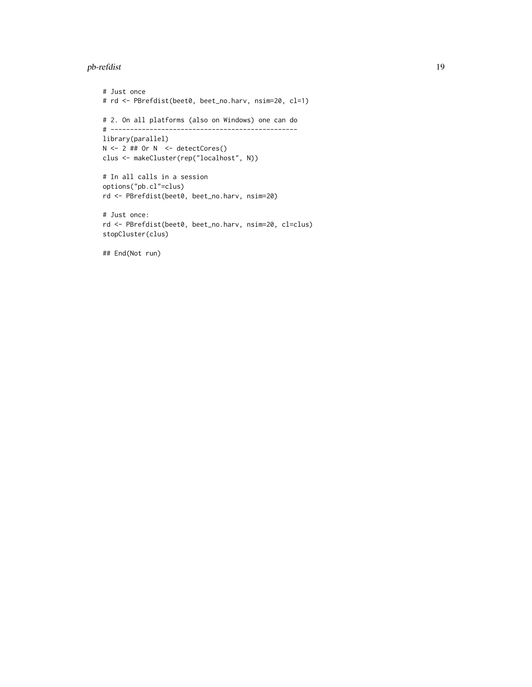#### pb-refdist 19

# Just once # rd <- PBrefdist(beet0, beet\_no.harv, nsim=20, cl=1) # 2. On all platforms (also on Windows) one can do # ----------------------------------------------- library(parallel)  $N \le -2$  ## Or  $N \le -$  detectCores() clus <- makeCluster(rep("localhost", N)) # In all calls in a session options("pb.cl"=clus) rd <- PBrefdist(beet0, beet\_no.harv, nsim=20)

```
# Just once:
rd <- PBrefdist(beet0, beet_no.harv, nsim=20, cl=clus)
stopCluster(clus)
```
## End(Not run)